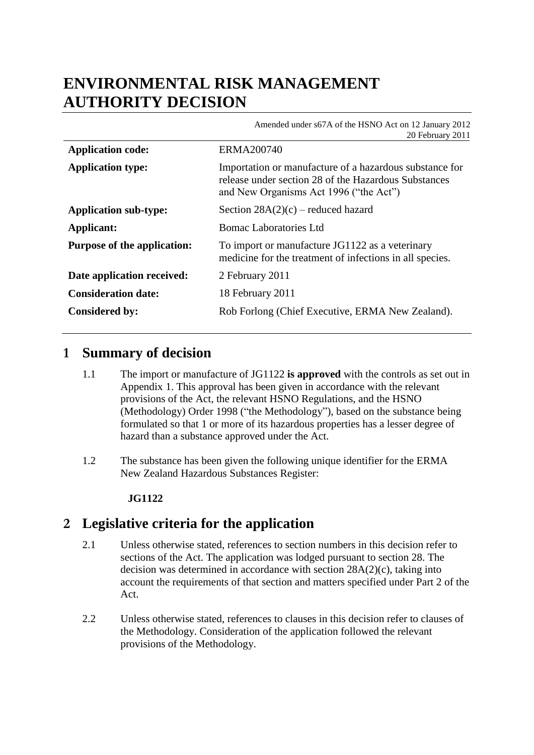# **ENVIRONMENTAL RISK MANAGEMENT AUTHORITY DECISION**

|                                    | Amended under s67A of the HSNO Act on 12 January 2012<br>20 February 2011                                                                                 |
|------------------------------------|-----------------------------------------------------------------------------------------------------------------------------------------------------------|
| <b>Application code:</b>           | ERMA200740                                                                                                                                                |
| <b>Application type:</b>           | Importation or manufacture of a hazardous substance for<br>release under section 28 of the Hazardous Substances<br>and New Organisms Act 1996 ("the Act") |
| <b>Application sub-type:</b>       | Section $28A(2)(c)$ – reduced hazard                                                                                                                      |
| Applicant:                         | Bomac Laboratories Ltd                                                                                                                                    |
| <b>Purpose of the application:</b> | To import or manufacture JG1122 as a veterinary<br>medicine for the treatment of infections in all species.                                               |
| Date application received:         | 2 February 2011                                                                                                                                           |
| <b>Consideration date:</b>         | 18 February 2011                                                                                                                                          |
| <b>Considered by:</b>              | Rob Forlong (Chief Executive, ERMA New Zealand).                                                                                                          |

## **1 Summary of decision**

- 1.1 The import or manufacture of JG1122 **is approved** with the controls as set out in Appendix 1. This approval has been given in accordance with the relevant provisions of the Act, the relevant HSNO Regulations, and the HSNO (Methodology) Order 1998 ("the Methodology"), based on the substance being formulated so that 1 or more of its hazardous properties has a lesser degree of hazard than a substance approved under the Act.
- 1.2 The substance has been given the following unique identifier for the ERMA New Zealand Hazardous Substances Register:

#### **JG1122**

## **2 Legislative criteria for the application**

- 2.1 Unless otherwise stated, references to section numbers in this decision refer to sections of the Act. The application was lodged pursuant to section 28. The decision was determined in accordance with section  $28A(2)(c)$ , taking into account the requirements of that section and matters specified under Part 2 of the Act.
- 2.2 Unless otherwise stated, references to clauses in this decision refer to clauses of the Methodology. Consideration of the application followed the relevant provisions of the Methodology.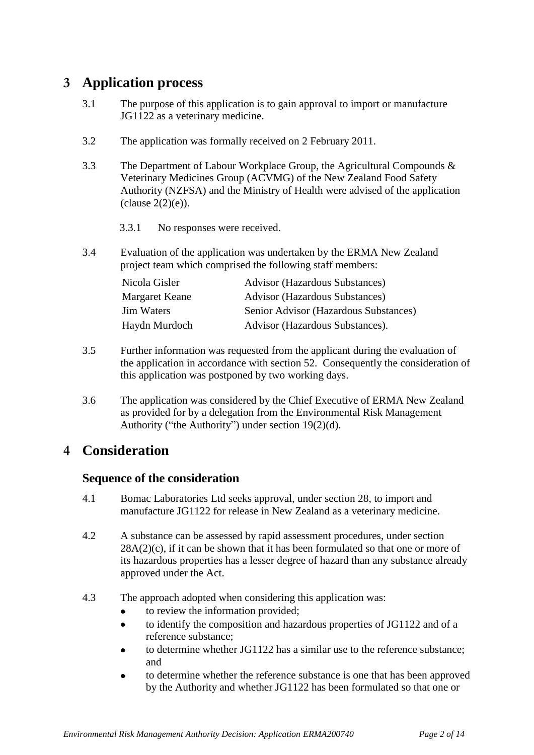## **3 Application process**

- 3.1 The purpose of this application is to gain approval to import or manufacture JG1122 as a veterinary medicine.
- 3.2 The application was formally received on 2 February 2011.
- 3.3 The Department of Labour Workplace Group, the Agricultural Compounds & Veterinary Medicines Group (ACVMG) of the New Zealand Food Safety Authority (NZFSA) and the Ministry of Health were advised of the application  $clause 2(2)(e)$ ).
	- 3.3.1 No responses were received.
- 3.4 Evaluation of the application was undertaken by the ERMA New Zealand project team which comprised the following staff members:

| Nicola Gisler     | <b>Advisor (Hazardous Substances)</b> |
|-------------------|---------------------------------------|
| Margaret Keane    | <b>Advisor (Hazardous Substances)</b> |
| <b>Jim Waters</b> | Senior Advisor (Hazardous Substances) |
| Haydn Murdoch     | Advisor (Hazardous Substances).       |

- 3.5 Further information was requested from the applicant during the evaluation of the application in accordance with section 52. Consequently the consideration of this application was postponed by two working days.
- 3.6 The application was considered by the Chief Executive of ERMA New Zealand as provided for by a delegation from the Environmental Risk Management Authority ("the Authority") under section 19(2)(d).

## **4 Consideration**

#### **Sequence of the consideration**

- 4.1 Bomac Laboratories Ltd seeks approval, under section 28, to import and manufacture JG1122 for release in New Zealand as a veterinary medicine.
- 4.2 A substance can be assessed by rapid assessment procedures, under section  $28A(2)(c)$ , if it can be shown that it has been formulated so that one or more of its hazardous properties has a lesser degree of hazard than any substance already approved under the Act.
- 4.3 The approach adopted when considering this application was:
	- to review the information provided;  $\bullet$
	- $\bullet$ to identify the composition and hazardous properties of JG1122 and of a reference substance;
	- to determine whether JG1122 has a similar use to the reference substance; and
	- to determine whether the reference substance is one that has been approved by the Authority and whether JG1122 has been formulated so that one or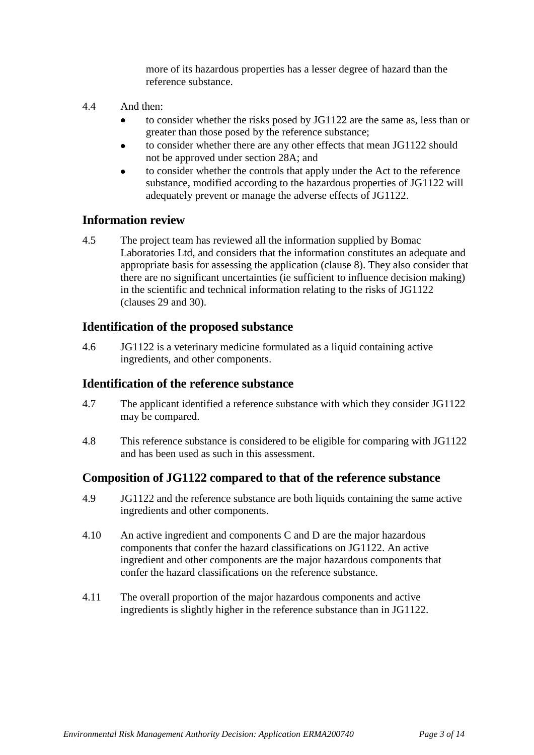more of its hazardous properties has a lesser degree of hazard than the reference substance.

- 4.4 And then:
	- to consider whether the risks posed by JG1122 are the same as, less than or  $\bullet$ greater than those posed by the reference substance;
	- to consider whether there are any other effects that mean JG1122 should  $\bullet$ not be approved under section 28A; and
	- to consider whether the controls that apply under the Act to the reference substance, modified according to the hazardous properties of JG1122 will adequately prevent or manage the adverse effects of JG1122.

#### **Information review**

4.5 The project team has reviewed all the information supplied by Bomac Laboratories Ltd, and considers that the information constitutes an adequate and appropriate basis for assessing the application (clause 8). They also consider that there are no significant uncertainties (ie sufficient to influence decision making) in the scientific and technical information relating to the risks of JG1122 (clauses 29 and 30).

### **Identification of the proposed substance**

4.6 JG1122 is a veterinary medicine formulated as a liquid containing active ingredients, and other components.

#### **Identification of the reference substance**

- 4.7 The applicant identified a reference substance with which they consider JG1122 may be compared.
- 4.8 This reference substance is considered to be eligible for comparing with JG1122 and has been used as such in this assessment.

### **Composition of JG1122 compared to that of the reference substance**

- 4.9 JG1122 and the reference substance are both liquids containing the same active ingredients and other components.
- 4.10 An active ingredient and components C and D are the major hazardous components that confer the hazard classifications on JG1122. An active ingredient and other components are the major hazardous components that confer the hazard classifications on the reference substance.
- 4.11 The overall proportion of the major hazardous components and active ingredients is slightly higher in the reference substance than in JG1122.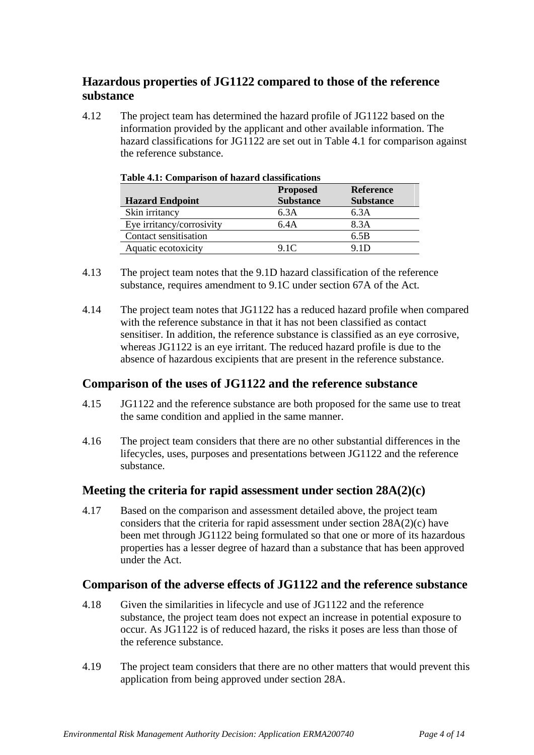## **Hazardous properties of JG1122 compared to those of the reference substance**

4.12 The project team has determined the hazard profile of JG1122 based on the information provided by the applicant and other available information. The hazard classifications for JG1122 are set out in Table 4.1 for comparison against the reference substance.

|                           | <b>Proposed</b>  | <b>Reference</b> |
|---------------------------|------------------|------------------|
| <b>Hazard Endpoint</b>    | <b>Substance</b> | <b>Substance</b> |
| Skin irritancy            | 6.3A             | 6.3A             |
| Eye irritancy/corrosivity | 6.4A             | 8.3A             |
| Contact sensitisation     |                  | 6.5B             |
| Aquatic ecotoxicity       | 9.1C             | 9 ID             |

- 4.13 The project team notes that the 9.1D hazard classification of the reference substance, requires amendment to 9.1C under section 67A of the Act.
- 4.14 The project team notes that JG1122 has a reduced hazard profile when compared with the reference substance in that it has not been classified as contact sensitiser. In addition, the reference substance is classified as an eye corrosive, whereas JG1122 is an eye irritant. The reduced hazard profile is due to the absence of hazardous excipients that are present in the reference substance.

### **Comparison of the uses of JG1122 and the reference substance**

- 4.15 JG1122 and the reference substance are both proposed for the same use to treat the same condition and applied in the same manner.
- 4.16 The project team considers that there are no other substantial differences in the lifecycles, uses, purposes and presentations between JG1122 and the reference substance.

#### **Meeting the criteria for rapid assessment under section 28A(2)(c)**

4.17 Based on the comparison and assessment detailed above, the project team considers that the criteria for rapid assessment under section 28A(2)(c) have been met through JG1122 being formulated so that one or more of its hazardous properties has a lesser degree of hazard than a substance that has been approved under the Act.

#### **Comparison of the adverse effects of JG1122 and the reference substance**

- 4.18 Given the similarities in lifecycle and use of JG1122 and the reference substance, the project team does not expect an increase in potential exposure to occur. As JG1122 is of reduced hazard, the risks it poses are less than those of the reference substance.
- 4.19 The project team considers that there are no other matters that would prevent this application from being approved under section 28A.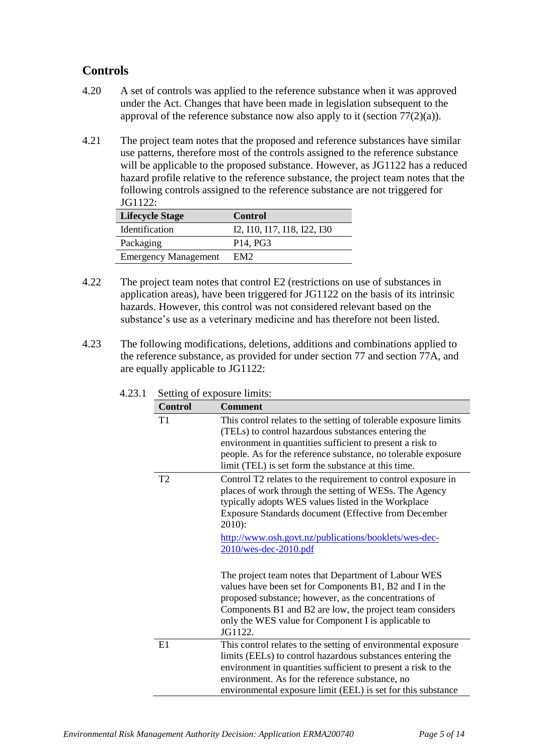## **Controls**

- 4.20 A set of controls was applied to the reference substance when it was approved under the Act. Changes that have been made in legislation subsequent to the approval of the reference substance now also apply to it (section  $77(2)(a)$ ).
- 4.21 The project team notes that the proposed and reference substances have similar use patterns, therefore most of the controls assigned to the reference substance will be applicable to the proposed substance. However, as JG1122 has a reduced hazard profile relative to the reference substance, the project team notes that the following controls assigned to the reference substance are not triggered for JG1122:

| <b>Lifecycle Stage</b>      | <b>Control</b>                     |
|-----------------------------|------------------------------------|
| <b>Identification</b>       | 12, 110, 117, 118, 122, 130        |
| Packaging                   | P <sub>14</sub> , P <sub>G</sub> 3 |
| <b>Emergency Management</b> | EM <sub>2</sub>                    |

- 4.22 The project team notes that control E2 (restrictions on use of substances in application areas), have been triggered for JG1122 on the basis of its intrinsic hazards. However, this control was not considered relevant based on the substance's use as a veterinary medicine and has therefore not been listed.
- 4.23 The following modifications, deletions, additions and combinations applied to the reference substance, as provided for under section 77 and section 77A, and are equally applicable to JG1122:

| <b>Control</b> | <b>Comment</b>                                                                                                                                                                                                                                                                                                                         |
|----------------|----------------------------------------------------------------------------------------------------------------------------------------------------------------------------------------------------------------------------------------------------------------------------------------------------------------------------------------|
| T1             | This control relates to the setting of tolerable exposure limits<br>(TELs) to control hazardous substances entering the<br>environment in quantities sufficient to present a risk to<br>people. As for the reference substance, no tolerable exposure<br>limit (TEL) is set form the substance at this time.                           |
| T <sub>2</sub> | Control T2 relates to the requirement to control exposure in<br>places of work through the setting of WESs. The Agency<br>typically adopts WES values listed in the Workplace<br>Exposure Standards document (Effective from December<br>$2010$ :<br>http://www.osh.govt.nz/publications/booklets/wes-dec-<br>$2010$ /wes-dec-2010.pdf |
|                | The project team notes that Department of Labour WES<br>values have been set for Components B1, B2 and I in the<br>proposed substance; however, as the concentrations of<br>Components B1 and B2 are low, the project team considers<br>only the WES value for Component I is applicable to<br>JG1122.                                 |
| E1             | This control relates to the setting of environmental exposure<br>limits (EELs) to control hazardous substances entering the<br>environment in quantities sufficient to present a risk to the<br>environment. As for the reference substance, no<br>environmental exposure limit (EEL) is set for this substance                        |

4.23.1 Setting of exposure limits: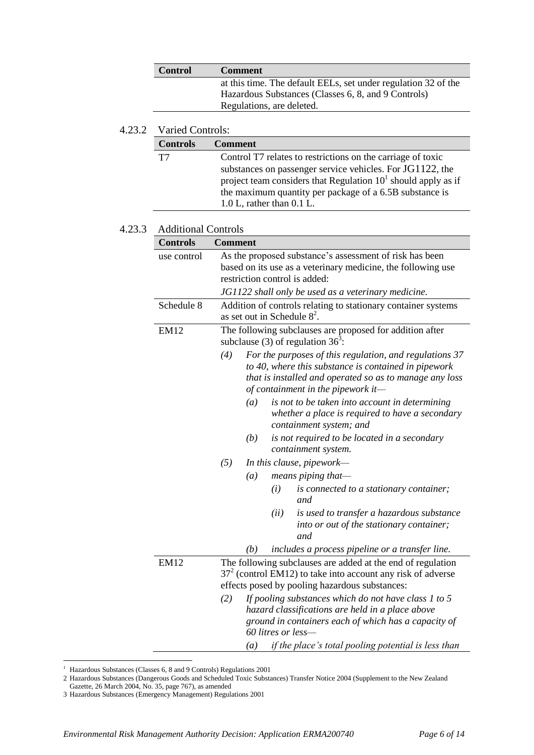| <b>Control</b>            | <b>Comment</b>                                                 |
|---------------------------|----------------------------------------------------------------|
|                           | at this time. The default EELs, set under regulation 32 of the |
|                           | Hazardous Substances (Classes 6, 8, and 9 Controls)            |
| Regulations, are deleted. |                                                                |
|                           |                                                                |

#### 4.23.2 Varied Controls:

| <b>Controls</b> | <b>Comment</b>                                                  |
|-----------------|-----------------------------------------------------------------|
| T7              | Control T7 relates to restrictions on the carriage of toxic     |
|                 | substances on passenger service vehicles. For JG1122, the       |
|                 | project team considers that Regulation $101$ should apply as if |
|                 | the maximum quantity per package of a 6.5B substance is         |
|                 | $1.0 L$ , rather than $0.1 L$ .                                 |

#### 4.23.3 Additional Controls

| <b>Controls</b> | <b>Comment</b>                                                                                                                                                                                                          |  |
|-----------------|-------------------------------------------------------------------------------------------------------------------------------------------------------------------------------------------------------------------------|--|
| use control     | As the proposed substance's assessment of risk has been<br>based on its use as a veterinary medicine, the following use<br>restriction control is added:                                                                |  |
|                 | JG1122 shall only be used as a veterinary medicine.                                                                                                                                                                     |  |
| Schedule 8      | Addition of controls relating to stationary container systems<br>as set out in Schedule $8^2$ .                                                                                                                         |  |
| <b>EM12</b>     | The following subclauses are proposed for addition after<br>subclause (3) of regulation $36^3$ :                                                                                                                        |  |
|                 | (4)<br>For the purposes of this regulation, and regulations 37<br>to 40, where this substance is contained in pipework<br>that is installed and operated so as to manage any loss<br>of containment in the pipework it- |  |
|                 | (a)<br>is not to be taken into account in determining<br>whether a place is required to have a secondary<br>containment system; and                                                                                     |  |
|                 | (b)<br>is not required to be located in a secondary<br>containment system.                                                                                                                                              |  |
|                 | (5)<br>In this clause, pipework—                                                                                                                                                                                        |  |
|                 | means piping that-<br>(a)                                                                                                                                                                                               |  |
|                 | (i)<br>is connected to a stationary container;<br>and                                                                                                                                                                   |  |
|                 | (ii)<br>is used to transfer a hazardous substance<br>into or out of the stationary container;<br>and                                                                                                                    |  |
|                 | includes a process pipeline or a transfer line.<br>(b)                                                                                                                                                                  |  |
| <b>EM12</b>     | The following subclauses are added at the end of regulation<br>$372$ (control EM12) to take into account any risk of adverse<br>effects posed by pooling hazardous substances:                                          |  |
|                 | If pooling substances which do not have class 1 to 5<br>(2)<br>hazard classifications are held in a place above<br>ground in containers each of which has a capacity of<br>60 litres or less-                           |  |
|                 | if the place's total pooling potential is less than<br>(a)                                                                                                                                                              |  |

<sup>&</sup>lt;sup>1</sup> Hazardous Substances (Classes 6, 8 and 9 Controls) Regulations 2001

 $\overline{a}$ 

<sup>2</sup> Hazardous Substances (Dangerous Goods and Scheduled Toxic Substances) Transfer Notice 2004 (Supplement to the New Zealand Gazette, 26 March 2004, No. 35, page 767), as amended

<sup>3</sup> Hazardous Substances (Emergency Management) Regulations 2001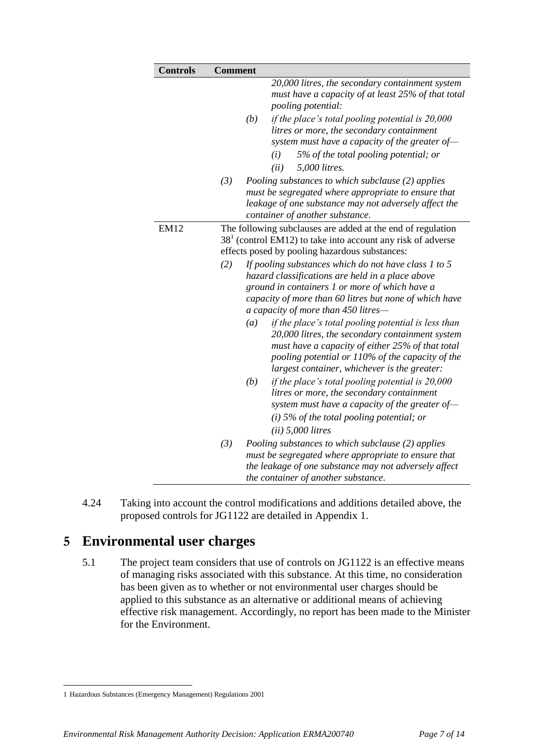| <b>Controls</b> | <b>Comment</b>                                                                                                                                                                                                                                                                                                                                                                                                                                                                                                                                                                                                                                                                                                                                                                                                                                                                                                                                                |
|-----------------|---------------------------------------------------------------------------------------------------------------------------------------------------------------------------------------------------------------------------------------------------------------------------------------------------------------------------------------------------------------------------------------------------------------------------------------------------------------------------------------------------------------------------------------------------------------------------------------------------------------------------------------------------------------------------------------------------------------------------------------------------------------------------------------------------------------------------------------------------------------------------------------------------------------------------------------------------------------|
|                 | 20,000 litres, the secondary containment system<br>must have a capacity of at least 25% of that total<br>pooling potential:<br>(b)<br>if the place's total pooling potential is 20,000<br>litres or more, the secondary containment<br>system must have a capacity of the greater of-<br>5% of the total pooling potential; or<br>(i)<br>5,000 litres.<br>(ii)                                                                                                                                                                                                                                                                                                                                                                                                                                                                                                                                                                                                |
|                 | (3)<br>Pooling substances to which subclause (2) applies<br>must be segregated where appropriate to ensure that<br>leakage of one substance may not adversely affect the<br>container of another substance.                                                                                                                                                                                                                                                                                                                                                                                                                                                                                                                                                                                                                                                                                                                                                   |
| <b>EM12</b>     | The following subclauses are added at the end of regulation<br>$381$ (control EM12) to take into account any risk of adverse<br>effects posed by pooling hazardous substances:<br>(2)<br>If pooling substances which do not have class 1 to 5<br>hazard classifications are held in a place above<br>ground in containers 1 or more of which have a<br>capacity of more than 60 litres but none of which have<br>a capacity of more than 450 litres-<br>if the place's total pooling potential is less than<br>(a)<br>20,000 litres, the secondary containment system<br>must have a capacity of either 25% of that total<br>pooling potential or 110% of the capacity of the<br>largest container, whichever is the greater:<br>(b)<br>if the place's total pooling potential is $20,000$<br>litres or more, the secondary containment<br>system must have a capacity of the greater of-<br>(i) 5% of the total pooling potential; or<br>$(ii)$ 5,000 litres |
|                 | (3)<br>Pooling substances to which subclause (2) applies<br>must be segregated where appropriate to ensure that<br>the leakage of one substance may not adversely affect<br>the container of another substance.                                                                                                                                                                                                                                                                                                                                                                                                                                                                                                                                                                                                                                                                                                                                               |

4.24 Taking into account the control modifications and additions detailed above, the proposed controls for JG1122 are detailed in Appendix 1.

## **5 Environmental user charges**

5.1 The project team considers that use of controls on JG1122 is an effective means of managing risks associated with this substance. At this time, no consideration has been given as to whether or not environmental user charges should be applied to this substance as an alternative or additional means of achieving effective risk management. Accordingly, no report has been made to the Minister for the Environment.

 $\overline{a}$ 

<sup>1</sup> Hazardous Substances (Emergency Management) Regulations 2001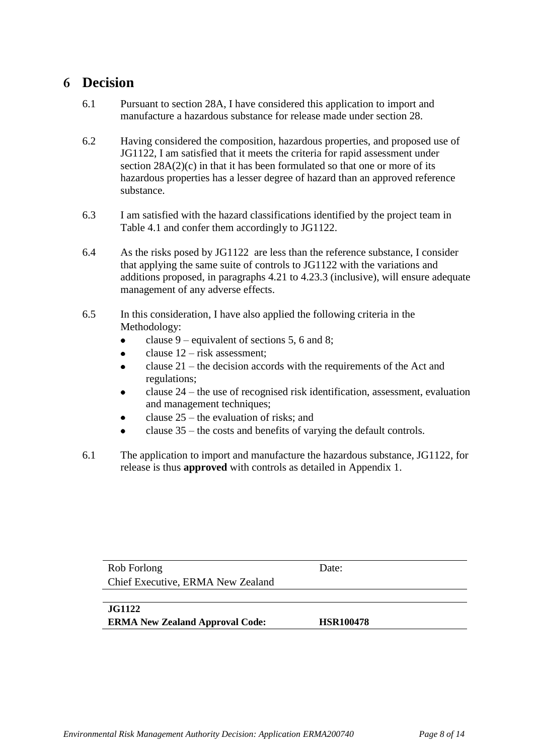## **6 Decision**

- 6.1 Pursuant to section 28A, I have considered this application to import and manufacture a hazardous substance for release made under section 28.
- 6.2 Having considered the composition, hazardous properties, and proposed use of JG1122, I am satisfied that it meets the criteria for rapid assessment under section  $28A(2)(c)$  in that it has been formulated so that one or more of its hazardous properties has a lesser degree of hazard than an approved reference substance.
- 6.3 I am satisfied with the hazard classifications identified by the project team in Table 4.1 and confer them accordingly to JG1122.
- 6.4 As the risks posed by JG1122 are less than the reference substance, I consider that applying the same suite of controls to JG1122 with the variations and additions proposed, in paragraphs 4.21 to 4.23.3 (inclusive), will ensure adequate management of any adverse effects.
- 6.5 In this consideration, I have also applied the following criteria in the Methodology:
	- clause 9 equivalent of sections 5, 6 and 8;  $\bullet$
	- clause 12 risk assessment;  $\bullet$
	- clause 21 the decision accords with the requirements of the Act and  $\bullet$ regulations;
	- clause 24 the use of recognised risk identification, assessment, evaluation  $\blacksquare$ and management techniques;
	- clause 25 the evaluation of risks; and
	- clause 35 the costs and benefits of varying the default controls.
- 6.1 The application to import and manufacture the hazardous substance, JG1122, for release is thus **approved** with controls as detailed in Appendix 1.

| Rob Forlong                            | Date:            |  |
|----------------------------------------|------------------|--|
| Chief Executive, ERMA New Zealand      |                  |  |
|                                        |                  |  |
| <b>JG1122</b>                          |                  |  |
| <b>ERMA New Zealand Approval Code:</b> | <b>HSR100478</b> |  |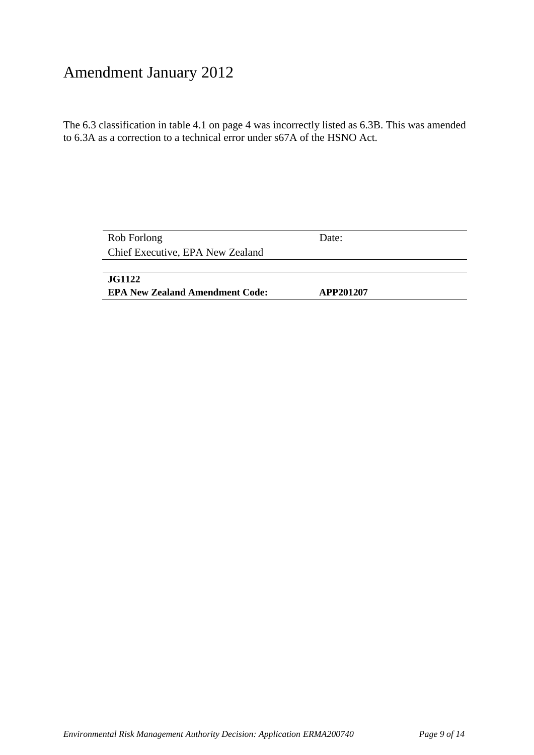# Amendment January 2012

The 6.3 classification in table 4.1 on page 4 was incorrectly listed as 6.3B. This was amended to 6.3A as a correction to a technical error under s67A of the HSNO Act.

| Rob Forlong                            | Date:     |  |
|----------------------------------------|-----------|--|
| Chief Executive, EPA New Zealand       |           |  |
|                                        |           |  |
| <b>JG1122</b>                          |           |  |
| <b>EPA New Zealand Amendment Code:</b> | APP201207 |  |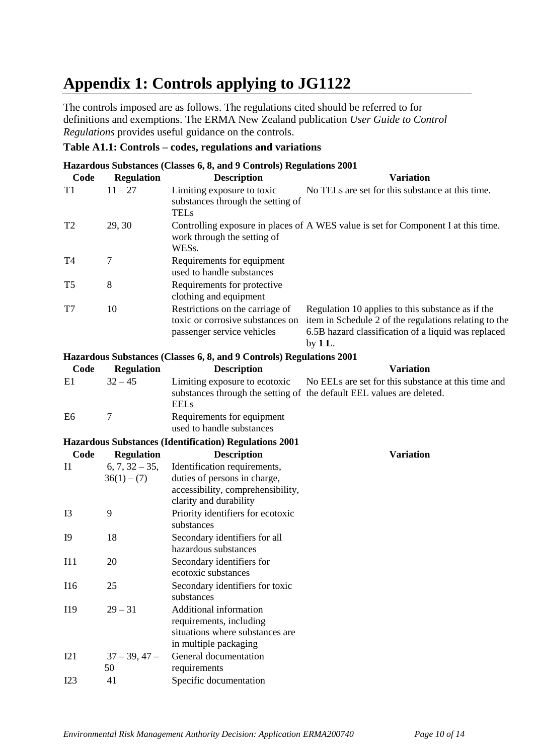# **Appendix 1: Controls applying to JG1122**

The controls imposed are as follows. The regulations cited should be referred to for definitions and exemptions. The ERMA New Zealand publication *User Guide to Control Regulations* provides useful guidance on the controls.

#### **Table A1.1: Controls – codes, regulations and variations**

| Hazardous Substances (Classes 6, 8, and 9 Controls) Regulations 2001 |                                   |                                                                                                                             |                                                                                                                                                                                 |  |  |  |  |
|----------------------------------------------------------------------|-----------------------------------|-----------------------------------------------------------------------------------------------------------------------------|---------------------------------------------------------------------------------------------------------------------------------------------------------------------------------|--|--|--|--|
| Code                                                                 | <b>Regulation</b>                 | <b>Description</b>                                                                                                          | <b>Variation</b>                                                                                                                                                                |  |  |  |  |
| T <sub>1</sub>                                                       | $11 - 27$                         | Limiting exposure to toxic<br>substances through the setting of<br><b>TELs</b>                                              | No TELs are set for this substance at this time.                                                                                                                                |  |  |  |  |
| T <sub>2</sub>                                                       | 29, 30                            | work through the setting of<br>WESs.                                                                                        | Controlling exposure in places of A WES value is set for Component I at this time.                                                                                              |  |  |  |  |
| T <sub>4</sub>                                                       | $\tau$                            | Requirements for equipment<br>used to handle substances                                                                     |                                                                                                                                                                                 |  |  |  |  |
| T <sub>5</sub>                                                       | $8\,$                             | Requirements for protective<br>clothing and equipment                                                                       |                                                                                                                                                                                 |  |  |  |  |
| T7                                                                   | 10                                | Restrictions on the carriage of<br>toxic or corrosive substances on<br>passenger service vehicles                           | Regulation 10 applies to this substance as if the<br>item in Schedule 2 of the regulations relating to the<br>6.5B hazard classification of a liquid was replaced<br>by $1 L$ . |  |  |  |  |
|                                                                      |                                   | Hazardous Substances (Classes 6, 8, and 9 Controls) Regulations 2001                                                        |                                                                                                                                                                                 |  |  |  |  |
| Code                                                                 | <b>Regulation</b>                 | <b>Description</b>                                                                                                          | <b>Variation</b>                                                                                                                                                                |  |  |  |  |
| E1                                                                   | $32 - 45$                         | Limiting exposure to ecotoxic<br><b>EELs</b>                                                                                | No EELs are set for this substance at this time and<br>substances through the setting of the default EEL values are deleted.                                                    |  |  |  |  |
| E <sub>6</sub>                                                       | $\overline{7}$                    | Requirements for equipment<br>used to handle substances                                                                     |                                                                                                                                                                                 |  |  |  |  |
| <b>Hazardous Substances (Identification) Regulations 2001</b>        |                                   |                                                                                                                             |                                                                                                                                                                                 |  |  |  |  |
| Code                                                                 | <b>Regulation</b>                 | <b>Description</b>                                                                                                          | <b>Variation</b>                                                                                                                                                                |  |  |  |  |
| I1                                                                   | $6, 7, 32 - 35,$<br>$36(1) - (7)$ | Identification requirements,<br>duties of persons in charge,<br>accessibility, comprehensibility,<br>clarity and durability |                                                                                                                                                                                 |  |  |  |  |
| I3                                                                   | 9                                 | Priority identifiers for ecotoxic<br>substances                                                                             |                                                                                                                                                                                 |  |  |  |  |
| <b>I9</b>                                                            | 18                                | Secondary identifiers for all<br>hazardous substances                                                                       |                                                                                                                                                                                 |  |  |  |  |
| I11                                                                  | 20                                | Secondary identifiers for                                                                                                   |                                                                                                                                                                                 |  |  |  |  |

ecotoxic substances

requirements, including

in multiple packaging

General documentation

situations where substances are

I16 25 Secondary identifiers for toxic

I19 29 – 31 Additional information

I23 41 Specific documentation

 $I21 \hspace{1.5cm} 37 - 39, 47 -$ 50

substances

requirements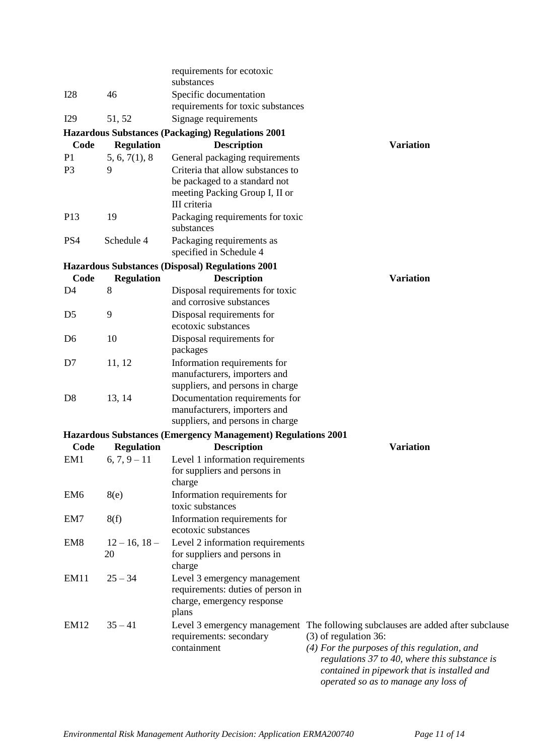|                                                          |                    | requirements for ecotoxic<br>substances                           |                                                                                     |  |  |  |  |  |  |
|----------------------------------------------------------|--------------------|-------------------------------------------------------------------|-------------------------------------------------------------------------------------|--|--|--|--|--|--|
| <b>I28</b>                                               | 46                 | Specific documentation<br>requirements for toxic substances       |                                                                                     |  |  |  |  |  |  |
| I29                                                      | 51, 52             | Signage requirements                                              |                                                                                     |  |  |  |  |  |  |
| <b>Hazardous Substances (Packaging) Regulations 2001</b> |                    |                                                                   |                                                                                     |  |  |  |  |  |  |
| Code                                                     | <b>Regulation</b>  | <b>Description</b>                                                | <b>Variation</b>                                                                    |  |  |  |  |  |  |
| P <sub>1</sub>                                           | 5, 6, 7(1), 8      | General packaging requirements                                    |                                                                                     |  |  |  |  |  |  |
| P <sub>3</sub>                                           | 9                  | Criteria that allow substances to                                 |                                                                                     |  |  |  |  |  |  |
|                                                          |                    | be packaged to a standard not                                     |                                                                                     |  |  |  |  |  |  |
|                                                          |                    | meeting Packing Group I, II or                                    |                                                                                     |  |  |  |  |  |  |
|                                                          |                    | III criteria                                                      |                                                                                     |  |  |  |  |  |  |
| P13                                                      | 19                 | Packaging requirements for toxic<br>substances                    |                                                                                     |  |  |  |  |  |  |
| PS4                                                      | Schedule 4         | Packaging requirements as<br>specified in Schedule 4              |                                                                                     |  |  |  |  |  |  |
|                                                          |                    | <b>Hazardous Substances (Disposal) Regulations 2001</b>           |                                                                                     |  |  |  |  |  |  |
| Code                                                     | <b>Regulation</b>  | <b>Description</b>                                                | <b>Variation</b>                                                                    |  |  |  |  |  |  |
| D <sub>4</sub>                                           | 8                  | Disposal requirements for toxic                                   |                                                                                     |  |  |  |  |  |  |
|                                                          |                    | and corrosive substances                                          |                                                                                     |  |  |  |  |  |  |
| D <sub>5</sub>                                           | 9                  | Disposal requirements for                                         |                                                                                     |  |  |  |  |  |  |
|                                                          |                    | ecotoxic substances                                               |                                                                                     |  |  |  |  |  |  |
| D <sub>6</sub>                                           | 10                 | Disposal requirements for<br>packages                             |                                                                                     |  |  |  |  |  |  |
| D <sub>7</sub>                                           | 11, 12             | Information requirements for                                      |                                                                                     |  |  |  |  |  |  |
|                                                          |                    | manufacturers, importers and                                      |                                                                                     |  |  |  |  |  |  |
|                                                          |                    | suppliers, and persons in charge                                  |                                                                                     |  |  |  |  |  |  |
| D <sub>8</sub>                                           | 13, 14             | Documentation requirements for                                    |                                                                                     |  |  |  |  |  |  |
|                                                          |                    | manufacturers, importers and<br>suppliers, and persons in charge  |                                                                                     |  |  |  |  |  |  |
|                                                          |                    | Hazardous Substances (Emergency Management) Regulations 2001      |                                                                                     |  |  |  |  |  |  |
| Code                                                     | <b>Regulation</b>  | <b>Description</b>                                                | <b>Variation</b>                                                                    |  |  |  |  |  |  |
| EM1                                                      | $6, 7, 9 - 11$     | Level 1 information requirements                                  |                                                                                     |  |  |  |  |  |  |
|                                                          |                    | for suppliers and persons in                                      |                                                                                     |  |  |  |  |  |  |
|                                                          |                    | charge                                                            |                                                                                     |  |  |  |  |  |  |
| EM <sub>6</sub>                                          | 8(e)               | Information requirements for                                      |                                                                                     |  |  |  |  |  |  |
|                                                          |                    | toxic substances                                                  |                                                                                     |  |  |  |  |  |  |
| EM7                                                      | 8(f)               | Information requirements for                                      |                                                                                     |  |  |  |  |  |  |
|                                                          |                    | ecotoxic substances                                               |                                                                                     |  |  |  |  |  |  |
| EM <sub>8</sub>                                          | $12 - 16$ , $18 -$ | Level 2 information requirements                                  |                                                                                     |  |  |  |  |  |  |
|                                                          | 20                 | for suppliers and persons in                                      |                                                                                     |  |  |  |  |  |  |
|                                                          | $25 - 34$          | charge                                                            |                                                                                     |  |  |  |  |  |  |
| EM11                                                     |                    | Level 3 emergency management<br>requirements: duties of person in |                                                                                     |  |  |  |  |  |  |
|                                                          |                    | charge, emergency response                                        |                                                                                     |  |  |  |  |  |  |
|                                                          |                    | plans                                                             |                                                                                     |  |  |  |  |  |  |
| <b>EM12</b>                                              | $35 - 41$          |                                                                   | Level 3 emergency management The following subclauses are added after subclause     |  |  |  |  |  |  |
|                                                          |                    | requirements: secondary                                           | $(3)$ of regulation 36:                                                             |  |  |  |  |  |  |
|                                                          |                    | containment                                                       | (4) For the purposes of this regulation, and                                        |  |  |  |  |  |  |
|                                                          |                    |                                                                   | regulations 37 to 40, where this substance is                                       |  |  |  |  |  |  |
|                                                          |                    |                                                                   | contained in pipework that is installed and<br>operated so as to manage any loss of |  |  |  |  |  |  |
|                                                          |                    |                                                                   |                                                                                     |  |  |  |  |  |  |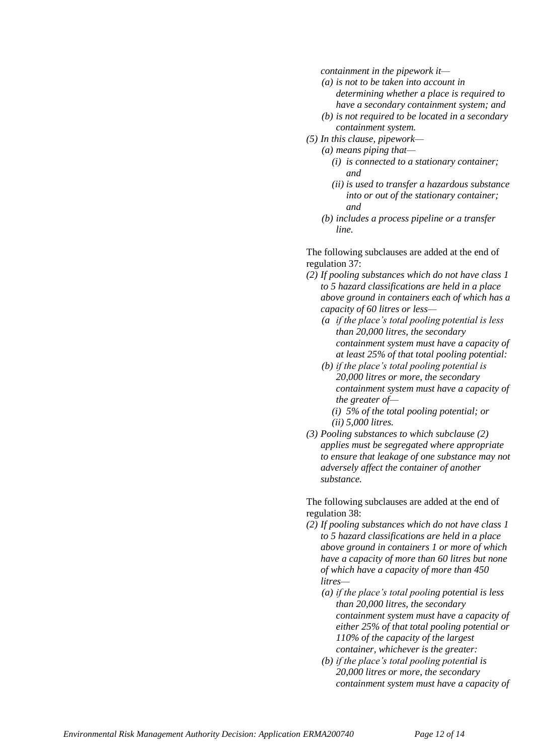*containment in the pipework it—*

- *(a) is not to be taken into account in determining whether a place is required to have a secondary containment system; and*
- *(b) is not required to be located in a secondary containment system.*
- *(5) In this clause, pipework—*
	- *(a) means piping that—*
		- *(i) is connected to a stationary container; and*
		- *(ii) is used to transfer a hazardous substance into or out of the stationary container; and*
		- *(b) includes a process pipeline or a transfer line.*

The following subclauses are added at the end of regulation 37:

- *(2) If pooling substances which do not have class 1 to 5 hazard classifications are held in a place above ground in containers each of which has a capacity of 60 litres or less—*
	- *(a if the place's total pooling potential is less than 20,000 litres, the secondary containment system must have a capacity of at least 25% of that total pooling potential:*
	- *(b) if the place's total pooling potential is 20,000 litres or more, the secondary containment system must have a capacity of the greater of—*
		- *(i) 5% of the total pooling potential; or (ii) 5,000 litres.*
- *(3) Pooling substances to which subclause (2) applies must be segregated where appropriate to ensure that leakage of one substance may not adversely affect the container of another substance.*

The following subclauses are added at the end of regulation 38:

- *(2) If pooling substances which do not have class 1 to 5 hazard classifications are held in a place above ground in containers 1 or more of which have a capacity of more than 60 litres but none of which have a capacity of more than 450 litres—*
	- *(a) if the place's total pooling potential is less than 20,000 litres, the secondary containment system must have a capacity of either 25% of that total pooling potential or 110% of the capacity of the largest container, whichever is the greater:*
	- *(b) if the place's total pooling potential is 20,000 litres or more, the secondary containment system must have a capacity of*